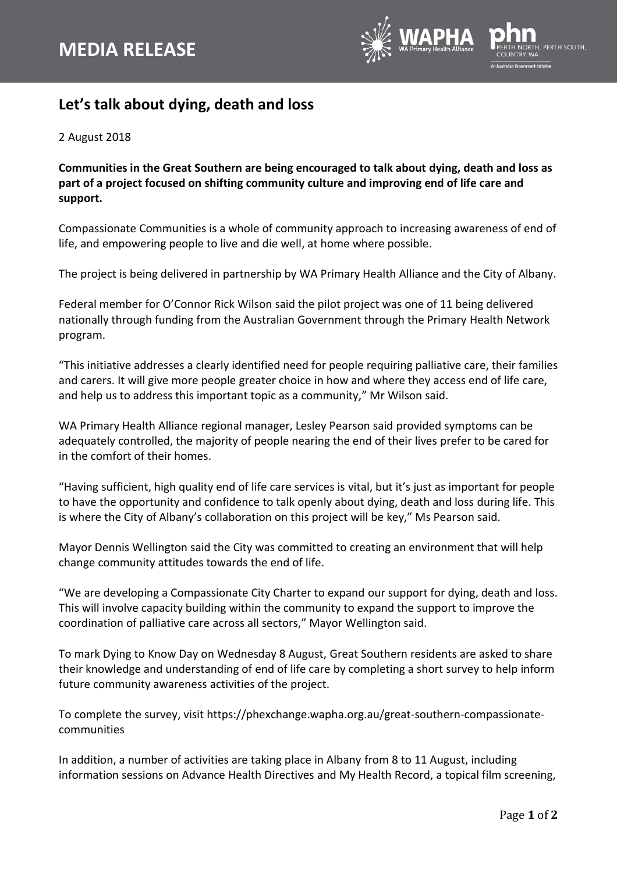

## **Let's talk about dying, death and loss**

2 August 2018

**Communities in the Great Southern are being encouraged to talk about dying, death and loss as part of a project focused on shifting community culture and improving end of life care and support.**

Compassionate Communities is a whole of community approach to increasing awareness of end of life, and empowering people to live and die well, at home where possible.

The project is being delivered in partnership by WA Primary Health Alliance and the City of Albany.

Federal member for O'Connor Rick Wilson said the pilot project was one of 11 being delivered nationally through funding from the Australian Government through the Primary Health Network program.

"This initiative addresses a clearly identified need for people requiring palliative care, their families and carers. It will give more people greater choice in how and where they access end of life care, and help us to address this important topic as a community," Mr Wilson said.

WA Primary Health Alliance regional manager, Lesley Pearson said provided symptoms can be adequately controlled, the majority of people nearing the end of their lives prefer to be cared for in the comfort of their homes.

"Having sufficient, high quality end of life care services is vital, but it's just as important for people to have the opportunity and confidence to talk openly about dying, death and loss during life. This is where the City of Albany's collaboration on this project will be key," Ms Pearson said.

Mayor Dennis Wellington said the City was committed to creating an environment that will help change community attitudes towards the end of life.

"We are developing a Compassionate City Charter to expand our support for dying, death and loss. This will involve capacity building within the community to expand the support to improve the coordination of palliative care across all sectors," Mayor Wellington said.

To mark Dying to Know Day on Wednesday 8 August, Great Southern residents are asked to share their knowledge and understanding of end of life care by completing a short survey to help inform future community awareness activities of the project.

To complete the survey, visit https:/[/phexchange.wapha.org.au/great-southern-compassionate](https://phexchange.wapha.org.au/great-southern-compassionate-communities)[communities](https://phexchange.wapha.org.au/great-southern-compassionate-communities)

In addition, a number of activities are taking place in Albany from 8 to 11 August, including information sessions on Advance Health Directives and My Health Record, a topical film screening,